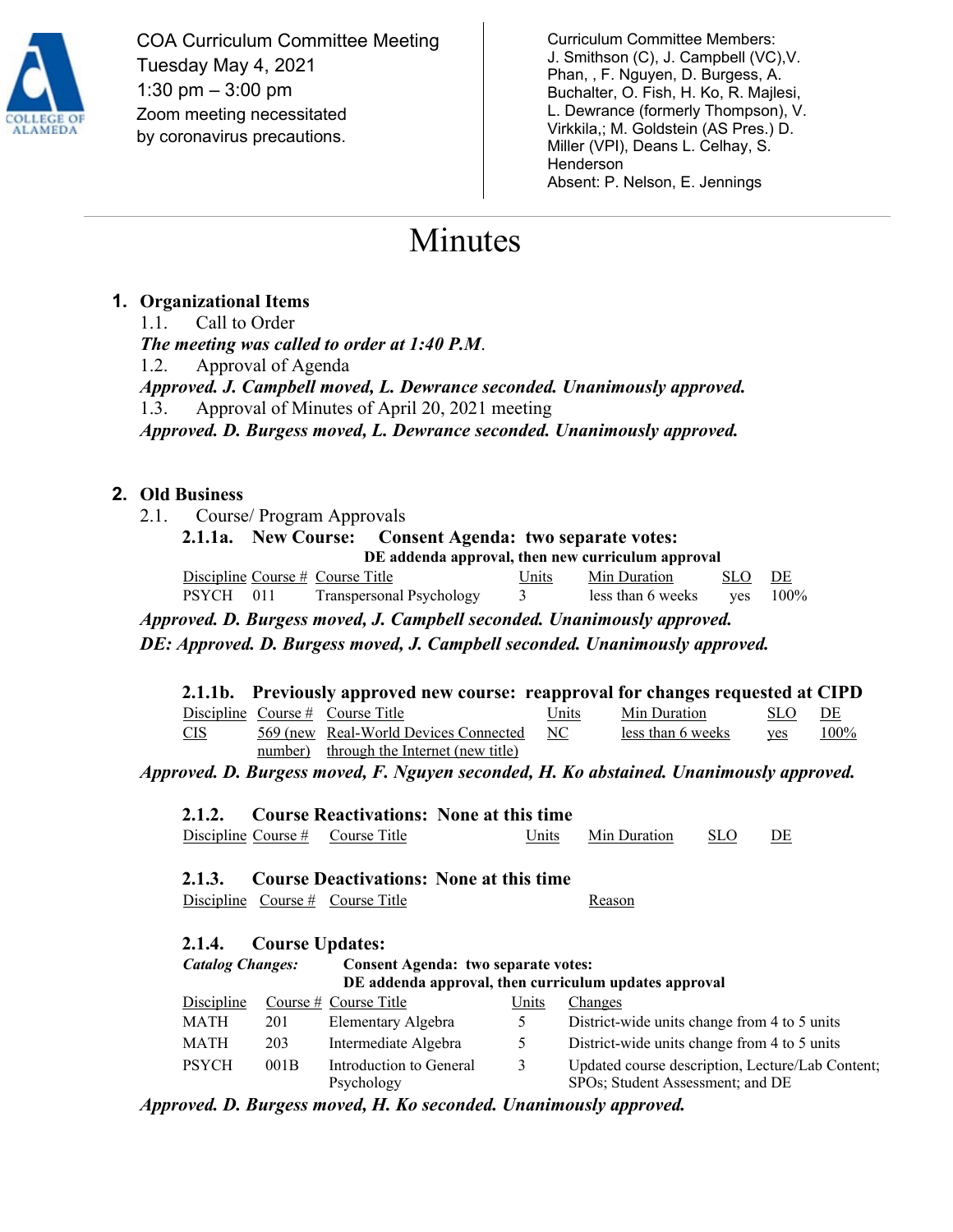

COA Curriculum Committee Meeting Tuesday May 4, 2021 1:30 pm – 3:00 pm Zoom meeting necessitated by coronavirus precautions.

Curriculum Committee Members: J. Smithson (C), J. Campbell (VC),V. Phan, , F. Nguyen, D. Burgess, A. Buchalter, O. Fish, H. Ko, R. Majlesi, L. Dewrance (formerly Thompson), V. Virkkila,; M. Goldstein (AS Pres.) D. Miller (VPI), Deans L. Celhay, S. Henderson Absent: P. Nelson, E. Jennings

# Minutes

## **1. Organizational Items**

1.1. Call to Order *The meeting was called to order at 1:40 P.M*. 1.2. Approval of Agenda *Approved. J. Campbell moved, L. Dewrance seconded. Unanimously approved.*  1.3. Approval of Minutes of April 20, 2021 meeting *Approved. D. Burgess moved, L. Dewrance seconded. Unanimously approved.* 

## **2. Old Business**

2.1. Course/ Program Approvals

**2.1.1a. New Course: Consent Agenda: two separate votes: DE addenda approval, then new curriculum approval**

|           | Discipline Course $#$ Course Title | Units Min Duration                                | SLO DE |  |
|-----------|------------------------------------|---------------------------------------------------|--------|--|
| PSYCH 011 | Transpersonal Psychology 3         | less than 6 weeks $\qquad \text{yes} \quad 100\%$ |        |  |

*Approved. D. Burgess moved, J. Campbell seconded. Unanimously approved.*

*DE: Approved. D. Burgess moved, J. Campbell seconded. Unanimously approved.*

| 2.1.1b. Previously approved new course: reapproval for changes requested at CIPD |                                                                                                                                                                           |  |
|----------------------------------------------------------------------------------|---------------------------------------------------------------------------------------------------------------------------------------------------------------------------|--|
| $\sum_{i=1}^n \frac{1}{i}$                                                       | $\mathbf{H}_{\text{min}} = \mathbf{M}_{\text{min}}^{\text{max}}$ $\mathbf{D}_{\text{turb}}$ $\mathbf{C}^{\text{max}}$ $\mathbf{C}^{\text{max}}$ $\mathbf{D}^{\text{max}}$ |  |

|     | Discipline Course $\#$ Course Title      | Units | Min Duration                                                                 | SLO – | DE |
|-----|------------------------------------------|-------|------------------------------------------------------------------------------|-------|----|
| CIS | 569 (new Real-World Devices Connected NC |       | $\frac{\text{less than 6 weeks}}{\text{Yes}}$ ves $\frac{100\%}{\text{Yes}}$ |       |    |
|     | number) through the Internet (new title) |       |                                                                              |       |    |

*Approved. D. Burgess moved, F. Nguyen seconded, H. Ko abstained. Unanimously approved.* 

|  |                                    | 2.1.2. Course Reactivations: None at this time |                    |       |  |
|--|------------------------------------|------------------------------------------------|--------------------|-------|--|
|  | Discipline Course $#$ Course Title |                                                | Units Min Duration | - SLO |  |

**2.1.3. Course Deactivations: None at this time** 

Discipline Course # Course Title Reason

#### **2.1.4. Course Updates:**

| <b>Catalog Changes:</b> |      | <b>Consent Agenda: two separate votes:</b> |       |                                                                                      |  |
|-------------------------|------|--------------------------------------------|-------|--------------------------------------------------------------------------------------|--|
|                         |      |                                            |       | DE addenda approval, then curriculum updates approval                                |  |
| Discipline              |      | Course $#$ Course Title                    | Units | Changes                                                                              |  |
| MATH                    | 201  | Elementary Algebra                         | 5     | District-wide units change from 4 to 5 units                                         |  |
| <b>MATH</b>             | 203  | Intermediate Algebra                       | 5     | District-wide units change from 4 to 5 units                                         |  |
| <b>PSYCH</b>            | 001B | Introduction to General<br>Psychology      | 3     | Updated course description, Lecture/Lab Content;<br>SPOs; Student Assessment; and DE |  |

*Approved. D. Burgess moved, H. Ko seconded. Unanimously approved.*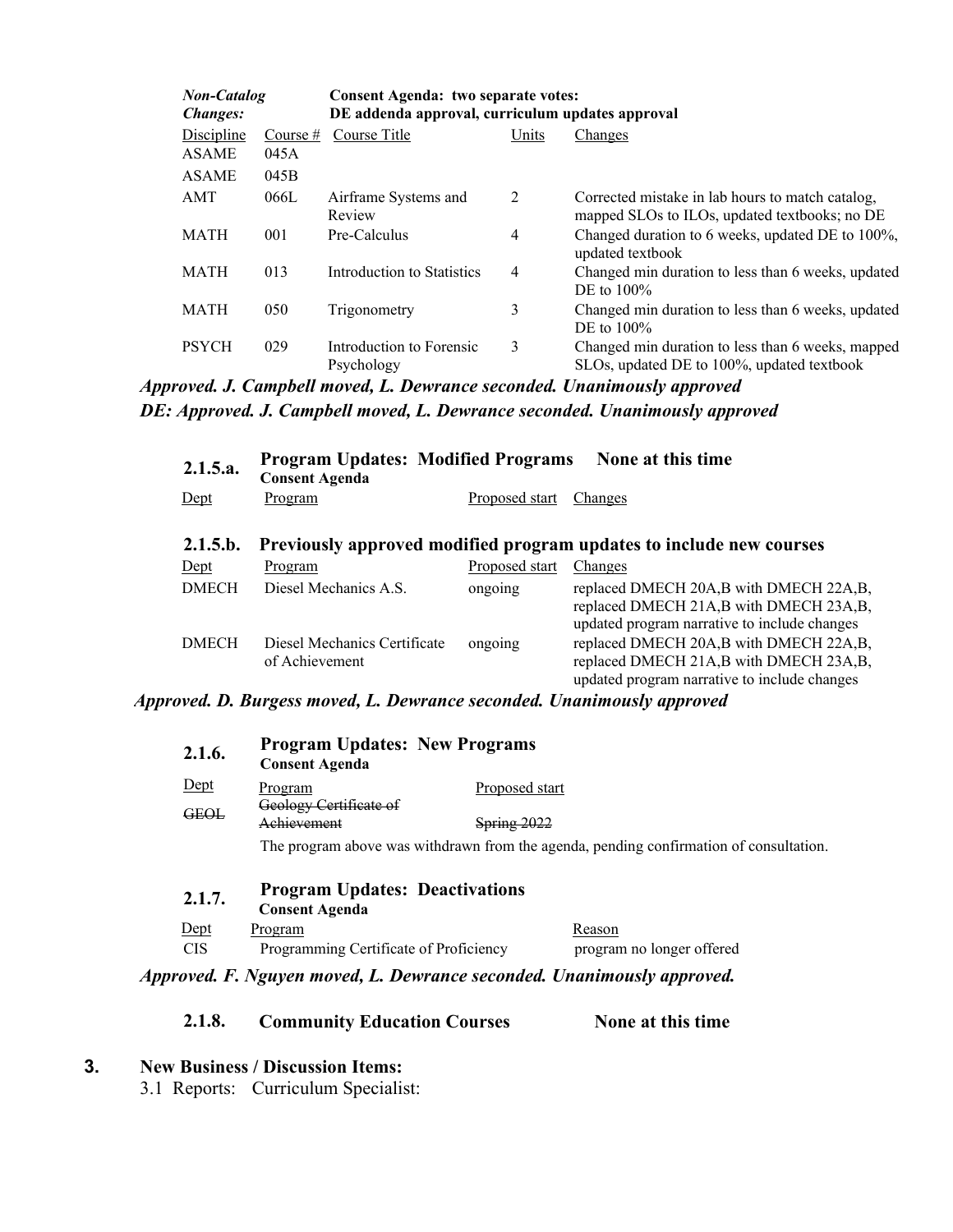| <b>Non-Catalog</b><br><b>Changes:</b> |            | Consent Agenda: two separate votes:<br>DE addenda approval, curriculum updates approval |       |                                                                                                   |  |
|---------------------------------------|------------|-----------------------------------------------------------------------------------------|-------|---------------------------------------------------------------------------------------------------|--|
| Discipline                            | Course $#$ | Course Title                                                                            | Units | Changes                                                                                           |  |
| <b>ASAME</b>                          | 045A       |                                                                                         |       |                                                                                                   |  |
| <b>ASAME</b>                          | 045B       |                                                                                         |       |                                                                                                   |  |
| AMT                                   | 066L       | Airframe Systems and<br>Review                                                          | 2     | Corrected mistake in lab hours to match catalog,<br>mapped SLOs to ILOs, updated textbooks; no DE |  |
| MATH                                  | 001        | Pre-Calculus                                                                            | 4     | Changed duration to 6 weeks, updated DE to 100%,<br>updated textbook                              |  |
| <b>MATH</b>                           | 013        | Introduction to Statistics                                                              | 4     | Changed min duration to less than 6 weeks, updated<br>DE to $100\%$                               |  |
| MATH                                  | 050        | Trigonometry                                                                            | 3     | Changed min duration to less than 6 weeks, updated<br>DE to $100\%$                               |  |
| <b>PSYCH</b>                          | 029        | Introduction to Forensic<br>Psychology                                                  | 3     | Changed min duration to less than 6 weeks, mapped<br>SLOs, updated DE to 100%, updated textbook   |  |

*Approved. J. Campbell moved, L. Dewrance seconded. Unanimously approved DE: Approved. J. Campbell moved, L. Dewrance seconded. Unanimously approved*

| 2.1.5.a.     | <b>Program Updates: Modified Programs</b><br><b>Consent Agenda</b> |                       | None at this time                                                                                                                |
|--------------|--------------------------------------------------------------------|-----------------------|----------------------------------------------------------------------------------------------------------------------------------|
| $Depth$      | Program                                                            | Proposed start        | Changes                                                                                                                          |
| 2.1.5.b.     |                                                                    |                       | Previously approved modified program updates to include new courses                                                              |
| $Det$        | Program                                                            | <b>Proposed start</b> | Changes                                                                                                                          |
| <b>DMECH</b> | Diesel Mechanics A.S.                                              | ongoing               | replaced DMECH 20A,B with DMECH 22A,B,<br>replaced DMECH 21A,B with DMECH 23A,B,<br>updated program narrative to include changes |
| <b>DMECH</b> | Diesel Mechanics Certificate<br>of Achievement                     | ongoing               | replaced DMECH 20A,B with DMECH 22A,B,<br>replaced DMECH 21A,B with DMECH 23A,B,<br>updated program narrative to include changes |

#### *Approved. D. Burgess moved, L. Dewrance seconded. Unanimously approved*

| 2.1.6.     | <b>Program Updates: New Programs</b><br><b>Consent Agenda</b>  |                    |                                                                                        |
|------------|----------------------------------------------------------------|--------------------|----------------------------------------------------------------------------------------|
| Dept       | Program                                                        | Proposed start     |                                                                                        |
| GEOL       | Geology Certificate of                                         |                    |                                                                                        |
|            | Achievement                                                    | <b>Spring 2022</b> |                                                                                        |
|            |                                                                |                    | The program above was withdrawn from the agenda, pending confirmation of consultation. |
| 2.1.7.     | <b>Program Updates: Deactivations</b><br><b>Consent Agenda</b> |                    |                                                                                        |
| Dept       | Program                                                        |                    | Reason                                                                                 |
| <b>CIS</b> | Programming Certificate of Proficiency                         |                    | program no longer offered                                                              |

*Approved. F. Nguyen moved, L. Dewrance seconded. Unanimously approved.*

#### **2.1.8. Community Education Courses None at this time**

**3. New Business / Discussion Items:**

3.1 Reports: Curriculum Specialist: